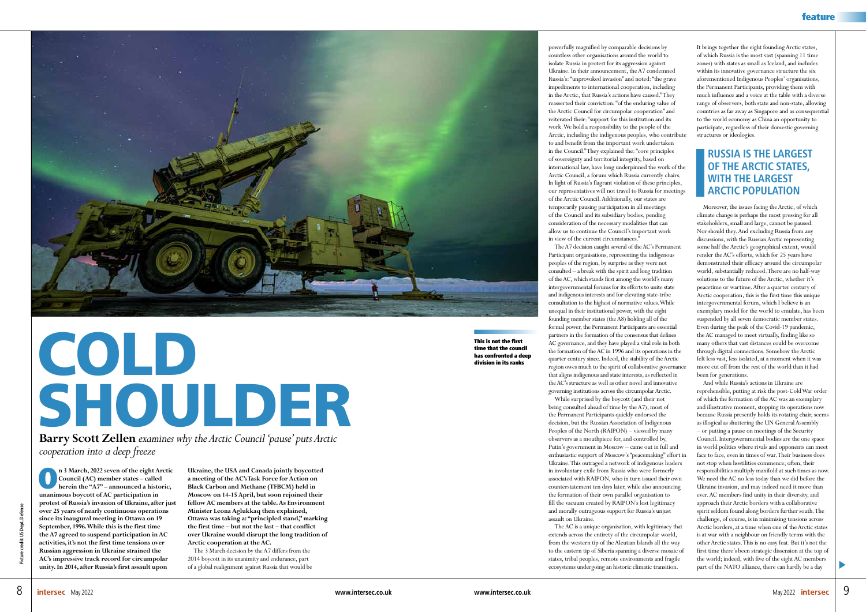

## COLD SHOULDER

**Barry Scott Zellen** *examines why the Arctic Council 'pause' puts Arctic cooperation into a deep freeze*

**n** 3 March, 2022 seven of the eight Arctic Council (AC) member states – called<br>
herein the "A7" – announced a historic,<br>
weapmease beyont of AC participation in **Council (AC) member states – called unanimous boycott of AC participation in protest of Russia's invasion of Ukraine, after just over 25 years of nearly continuous operations since its inaugural meeting in Ottawa on 19 September, 1996. While this is the first time the A7 agreed to suspend participation in AC activities, it's not the first time tensions over Russian aggression in Ukraine strained the AC's impressive track record for circumpolar unity. In 2014, after Russia's first assault upon** 

**Ukraine, the USA and Canada jointly boycotted a meeting of the AC's Task Force for Action on Black Carbon and Methane (TFBCM) held in Moscow on 14-15 April, but soon rejoined their fellow AC members at the table. As Environment Minister Leona Aglukkaq then explained, Ottawa was taking a: "principled stand," marking the first time – but not the last – that conflict over Ukraine would disrupt the long tradition of Arctic cooperation at the AC.**

The 3 March decision by the A7 differs from the 2014 boycott in its unanimity and endurance, part of a global realignment against Russia that would be powerfully magnified by comparable decisions by

countless other organisations around the world to isolate Russia in protest for its aggression against Ukraine. In their announcement, the A7 condemned Russia's: "unprovoked invasion" and noted: "the grave impediments to international cooperation, including in the Arctic, that Russia's actions have caused." They reasserted their conviction: "of the enduring value of the Arctic Council for circumpolar cooperation" and reiterated their: "support for this institution and its work. We hold a responsibility to the people of the Arctic, including the indigenous peoples, who contribute to and benefit from the important work undertaken in the Council." They explained the: "core principles of sovereignty and territorial integrity, based on international law, have long underpinned the work of the Arctic Council, a forum which Russia currently chairs. In light of Russia's flagrant violation of these principles, our representatives will not travel to Russia for meetings of the Arctic Council. Additionally, our states are temporarily pausing participation in all meetings of the Council and its subsidiary bodies, pending consideration of the necessary modalities that can allow us to continue the Council's important work in view of the current circumstances."

The A7 decision caught several of the AC's Permanent Participant organisations, representing the indigenous peoples of the region, by surprise as they were not consulted – a break with the spirit and long tradition of the AC, which stands first among the world's many intergovernmental forums for its efforts to unite state and indigenous interests and for elevating state-tribe consultation to the highest of normative values. While unequal in their institutional power, with the eight founding member states (the A8) holding all of the formal power, the Permanent Participants are essential partners in the formation of the consensus that defines AC governance, and they have played a vital role in both the formation of the AC in 1996 and its operations in the quarter century since. Indeed, the stability of the Arctic region owes much to the spirit of collaborative governance that aligns indigenous and state interests, as reflected in the AC's structure as well as other novel and innovative governing institutions across the circumpolar Arctic. While surprised by the boycott (and their not being consulted ahead of time by the A7), most of the Permanent Participants quickly endorsed the decision, but the Russian Association of Indigenous Peoples of the North (RAIPON) – viewed by many observers as a mouthpiece for, and controlled by, Putin's government in Moscow – came out in full and enthusiastic support of Moscow's "peacemaking" effort in Ukraine. This outraged a network of indigenous leaders in involuntary exile from Russia who were formerly associated with RAIPON, who in turn issued their own counterstatement ten days later, while also announcing the formation of their own parallel organisation to fill the vacuum created by RAIPON's lost legitimacy and morally outrageous support for Russia's unjust

assault on Ukraine.

The AC is a unique organisation, with legitimacy that extends across the entirety of the circumpolar world, from the western tip of the Aleutian Islands all the way to the eastern tip of Siberia spanning a diverse mosaic of states, tribal peoples, remote environments and fragile ecosystems undergoing an historic climatic transition.

It brings together the eight founding Arctic states, of which Russia is the most vast (spanning 11 time zones) with states as small as Iceland, and includes within its innovative governance structure the six aforementioned Indigenous Peoples' organisations, the Permanent Participants, providing them with much influence and a voice at the table with a diverse range of observers, both state and non-state, allowing countries as far away as Singapore and as consequential to the world economy as China an opportunity to participate, regardless of their domestic governing structures or ideologies.

Moreover, the issues facing the Arctic, of which climate change is perhaps the most pressing for all stakeholders, small and large, cannot be paused. Nor should they. And excluding Russia from any discussions, with the Russian Arctic representing some half the Arctic's geographical extent, would render the AC's efforts, which for 25 years have demonstrated their efficacy around the circumpolar world, substantially reduced. There are no half-way solutions to the future of the Arctic, whether it's peacetime or wartime. After a quarter century of Arctic cooperation, this is the first time this unique intergovernmental forum, which I believe is an exemplary model for the world to emulate, has been suspended by all seven democratic member states. Even during the peak of the Covid-19 pandemic, the AC managed to meet virtually, finding like so many others that vast distances could be overcome through digital connections. Somehow the Arctic felt less vast, less isolated, at a moment when it was more cut off from the rest of the world than it had been for generations.

And while Russia's actions in Ukraine are reprehensible, putting at risk the post-Cold War order of which the formation of the AC was an exemplary and illustrative moment, stopping its operations now because Russia presently holds its rotating chair, seems as illogical as shuttering the UN General Assembly – or putting a pause on meetings of the Security Council. Intergovernmental bodies are the one space in world politics where rivals and opponents can meet face to face, even in times of war. Their business does not stop when hostilities commence; often, their responsibilities multiply manifold at such times as now. We need the AC no less today than we did before the Ukraine invasion, and may indeed need it more than ever. AC members find unity in their diversity, and approach their Arctic borders with a collaborative spirit seldom found along borders further south. The challenge, of course, is in minimising tensions across Arctic borders, at a time when one of the Arctic states is at war with a neighbour on friendly terms with the other Arctic states. This is no easy feat. But it's not the first time there's been strategic dissension at the top of the world; indeed, with five of the eight AC members part of the NATO alliance, there can hardly be a day

## **RUSSIA IS THE LARGEST OF THE ARCTIC STATES, WITH THE LARGEST ARCTIC POPULATION**

This is not the first time that the council has confronted a deep division in its ranks